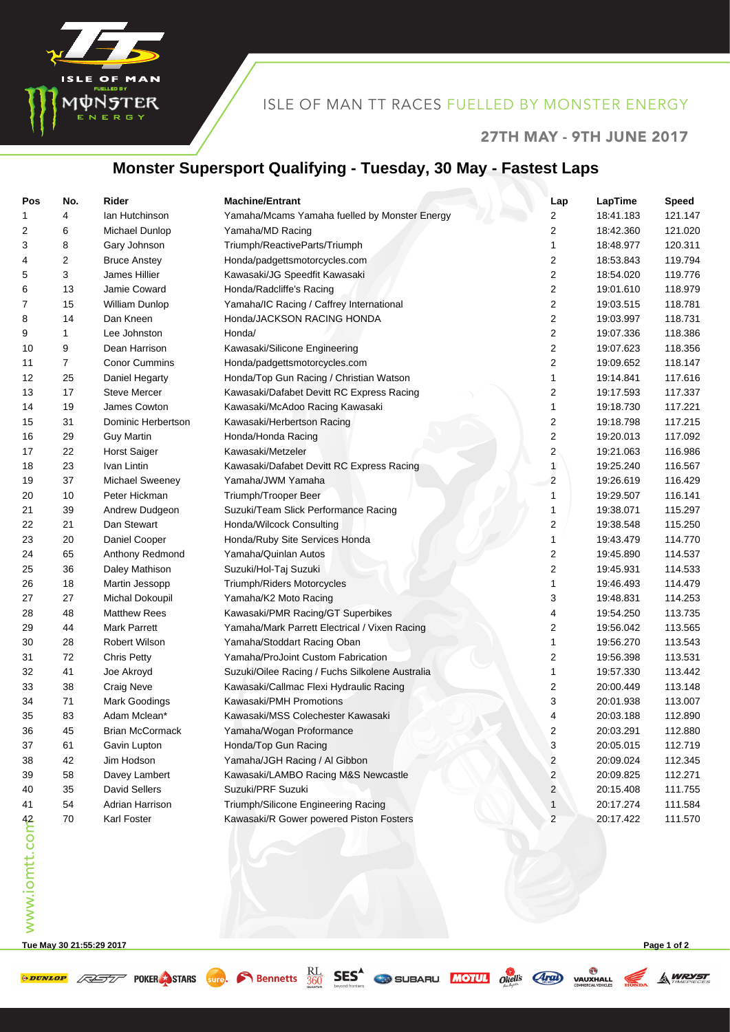

#### ISLE OF MAN TT RACES FUELLED BY MONSTER ENERGY

#### 27TH MAY - 9TH JUNE 2017

**A WRYST** 

## **Monster Supersport Qualifying - Tuesday, 30 May - Fastest Laps**

| Pos            | No. | Rider                  | <b>Machine/Entrant</b>                          | Lap                  | LapTime   | <b>Speed</b> |
|----------------|-----|------------------------|-------------------------------------------------|----------------------|-----------|--------------|
| 1              | 4   | lan Hutchinson         | Yamaha/Mcams Yamaha fuelled by Monster Energy   | 2                    | 18:41.183 | 121.147      |
| 2              | 6   | Michael Dunlop         | Yamaha/MD Racing                                | 2                    | 18:42.360 | 121.020      |
| 3              | 8   | Gary Johnson           | Triumph/ReactiveParts/Triumph                   | 1                    | 18:48.977 | 120.311      |
| 4              | 2   | <b>Bruce Anstey</b>    | Honda/padgettsmotorcycles.com                   | 2                    | 18:53.843 | 119.794      |
| 5              | 3   | James Hillier          | Kawasaki/JG Speedfit Kawasaki                   | 2                    | 18:54.020 | 119.776      |
| 6              | 13  | Jamie Coward           | Honda/Radcliffe's Racing                        | 2                    | 19:01.610 | 118.979      |
| 7              | 15  | William Dunlop         | Yamaha/IC Racing / Caffrey International        | 2                    | 19:03.515 | 118.781      |
| 8              | 14  | Dan Kneen              | Honda/JACKSON RACING HONDA                      | 2                    | 19:03.997 | 118.731      |
| 9              | 1   | Lee Johnston           | Honda/                                          | 2                    | 19:07.336 | 118.386      |
| 10             | 9   | Dean Harrison          | Kawasaki/Silicone Engineering                   | 2                    | 19:07.623 | 118.356      |
| 11             | 7   | <b>Conor Cummins</b>   | Honda/padgettsmotorcycles.com                   | 2                    | 19:09.652 | 118.147      |
| 12             | 25  | Daniel Hegarty         | Honda/Top Gun Racing / Christian Watson         | 1                    | 19:14.841 | 117.616      |
| 13             | 17  | <b>Steve Mercer</b>    | Kawasaki/Dafabet Devitt RC Express Racing       | 2                    | 19:17.593 | 117.337      |
| 14             | 19  | James Cowton           | Kawasaki/McAdoo Racing Kawasaki                 | 1                    | 19:18.730 | 117.221      |
| 15             | 31  | Dominic Herbertson     | Kawasaki/Herbertson Racing                      | 2                    | 19:18.798 | 117.215      |
| 16             | 29  | <b>Guy Martin</b>      | Honda/Honda Racing                              | 2                    | 19:20.013 | 117.092      |
| 17             | 22  | <b>Horst Saiger</b>    | Kawasaki/Metzeler                               | $\mathbf{2}^{\circ}$ | 19:21.063 | 116.986      |
| 18             | 23  | Ivan Lintin            | Kawasaki/Dafabet Devitt RC Express Racing       | 1                    | 19:25.240 | 116.567      |
| 19             | 37  | Michael Sweeney        | Yamaha/JWM Yamaha                               | 2                    | 19:26.619 | 116.429      |
| 20             | 10  | Peter Hickman          | Triumph/Trooper Beer                            | 1                    | 19:29.507 | 116.141      |
| 21             | 39  | Andrew Dudgeon         | Suzuki/Team Slick Performance Racing            | 1                    | 19:38.071 | 115.297      |
| 22             | 21  | Dan Stewart            | Honda/Wilcock Consulting                        | 2                    | 19:38.548 | 115.250      |
| 23             | 20  | Daniel Cooper          | Honda/Ruby Site Services Honda                  | 1                    | 19:43.479 | 114.770      |
| 24             | 65  | Anthony Redmond        | Yamaha/Quinlan Autos                            | 2                    | 19:45.890 | 114.537      |
| 25             | 36  | Daley Mathison         | Suzuki/Hol-Taj Suzuki                           | 2                    | 19:45.931 | 114.533      |
| 26             | 18  | Martin Jessopp         | Triumph/Riders Motorcycles                      | 1                    | 19:46.493 | 114.479      |
| 27             | 27  | Michal Dokoupil        | Yamaha/K2 Moto Racing                           | 3                    | 19:48.831 | 114.253      |
| 28             | 48  | <b>Matthew Rees</b>    | Kawasaki/PMR Racing/GT Superbikes               | 4                    | 19:54.250 | 113.735      |
| 29             | 44  | <b>Mark Parrett</b>    | Yamaha/Mark Parrett Electrical / Vixen Racing   | 2                    | 19:56.042 | 113.565      |
| 30             | 28  | <b>Robert Wilson</b>   | Yamaha/Stoddart Racing Oban                     | 1                    | 19:56.270 | 113.543      |
| 31             | 72  | <b>Chris Petty</b>     | Yamaha/ProJoint Custom Fabrication              | 2                    | 19:56.398 | 113.531      |
| 32             | 41  | Joe Akroyd             | Suzuki/Oilee Racing / Fuchs Silkolene Australia | 1                    | 19:57.330 | 113.442      |
| 33             | 38  | <b>Craig Neve</b>      | Kawasaki/Callmac Flexi Hydraulic Racing         | 2                    | 20:00.449 | 113.148      |
| 34             | 71  | Mark Goodings          | Kawasaki/PMH Promotions                         | 3                    | 20:01.938 | 113.007      |
| 35             | 83  | Adam Mclean*           | Kawasaki/MSS Colechester Kawasaki               | 4                    | 20:03.188 | 112.890      |
| 36             | 45  | <b>Brian McCormack</b> | Yamaha/Wogan Proformance                        | 2                    | 20:03.291 | 112.880      |
| 37             | 61  | Gavin Lupton           | Honda/Top Gun Racing                            | 3                    | 20:05.015 | 112.719      |
| 38             | 42  | Jim Hodson             | Yamaha/JGH Racing / Al Gibbon                   | 2                    | 20:09.024 | 112.345      |
| 39             | 58  | Davey Lambert          | Kawasaki/LAMBO Racing M&S Newcastle             | $\overline{c}$       | 20:09.825 | 112.271      |
| 40             | 35  | David Sellers          | Suzuki/PRF Suzuki                               | 2                    | 20:15.408 | 111.755      |
| 41             | 54  | Adrian Harrison        | Triumph/Silicone Engineering Racing             | 1                    | 20:17.274 | 111.584      |
|                | 70  | Karl Foster            | Kawasaki/R Gower powered Piston Fosters         | $\overline{c}$       | 20:17.422 | 111.570      |
| www.iomtt.comb |     |                        |                                                 |                      |           |              |
|                |     |                        |                                                 |                      |           |              |
|                |     |                        |                                                 |                      |           |              |
|                |     |                        |                                                 |                      |           |              |
|                |     |                        |                                                 |                      |           |              |
|                |     |                        |                                                 |                      |           |              |

**Tue May 30 21:55:29 2017 Page 1 of 2**